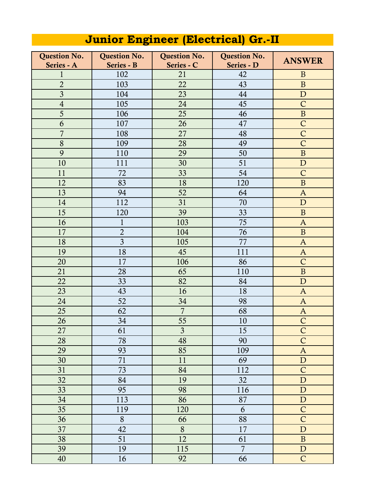| <b>Question No.</b> | <b>Question No.</b> | <b>Question No.</b> | <b>Question No.</b> | <b>ANSWER</b>  |
|---------------------|---------------------|---------------------|---------------------|----------------|
| Series - A          | Series - B          | Series - C          | Series - D          |                |
| $\mathbf{1}$        | 102                 | 21                  | 42                  | $\overline{B}$ |
| $\overline{2}$      | 103                 | 22                  | 43                  | $\mathbf{B}$   |
| $\overline{3}$      | 104                 | 23                  | 44                  | $\mathbf{D}$   |
| $\sqrt{4}$          | 105                 | 24                  | 45                  | $\mathsf{C}$   |
| 5                   | 106                 | 25                  | 46                  | $\mathbf B$    |
| 6                   | 107                 | 26                  | 47                  | $\mathsf{C}$   |
| $\overline{7}$      | 108                 | 27                  | 48                  | $\mathsf{C}$   |
| 8                   | 109                 | 28                  | 49                  | $\mathsf{C}$   |
| 9                   | 110                 | 29                  | 50                  | $\, {\bf B}$   |
| 10                  | 111                 | 30                  | 51                  | $\mathbf D$    |
| 11                  | 72                  | 33                  | 54                  | $\mathsf{C}$   |
| 12                  | 83                  | 18                  | 120                 | $\, {\bf B}$   |
| 13                  | 94                  | 52                  | 64                  | $\mathbf{A}$   |
| 14                  | 112                 | 31                  | 70                  | $\mathbf{D}$   |
| 15                  | 120                 | 39                  | 33                  | $\mathbf B$    |
| 16                  | $\mathbf{1}$        | 103                 | 75                  | $\mathbf{A}$   |
| 17                  | $\overline{2}$      | 104                 | 76                  | $\mathbf{B}$   |
| 18                  | $\overline{3}$      | 105                 | 77                  | $\mathbf{A}$   |
| 19                  | 18                  | 45                  | 111                 | $\mathbf{A}$   |
| 20                  | 17                  | 106                 | 86                  | $\mathsf{C}$   |
| 21                  | 28                  | 65                  | 110                 | $\mathbf{B}$   |
| 22                  | 33                  | 82                  | 84                  | $\mathbf D$    |
| 23                  | 43                  | 16                  | 18                  | $\mathbf{A}$   |
| 24                  | 52                  | 34                  | 98                  | $\mathbf{A}$   |
| 25                  | 62                  | $\overline{7}$      | 68                  | $\mathbf{A}$   |
| 26                  | 34                  | 55                  | 10                  | $\mathsf{C}$   |
| 27                  | 61                  | $\mathfrak{Z}$      | 15                  | $\mathsf{C}$   |
| 28                  | 78                  | 48                  | 90                  | $\overline{C}$ |
| 29                  | 93                  | 85                  | 109                 | $\mathbf{A}$   |
| 30                  | 71                  | 11                  | 69                  | ${\bf D}$      |
| 31                  | 73                  | 84                  | 112                 | $\mathsf{C}$   |
| 32                  | 84                  | 19                  | 32                  | ${\bf D}$      |
| 33                  | 95                  | 98                  | 116                 | $\mathbf D$    |
| 34                  | 113                 | 86                  | 87                  | ${\bf D}$      |
| 35                  | 119                 | 120                 | 6                   | $\mathsf{C}$   |
| 36                  | 8                   | 66                  | 88                  | $\overline{C}$ |
| 37                  | 42                  | 8                   | 17                  | ${\bf D}$      |
| 38                  | 51                  | 12                  | 61                  | $\mathbf B$    |
| 39                  | 19                  | 115                 | $\overline{7}$      | ${\bf D}$      |
| 40                  | 16                  | 92                  | 66                  | $\mathsf C$    |

## **Junior Engineer (Electrical) Gr.-II**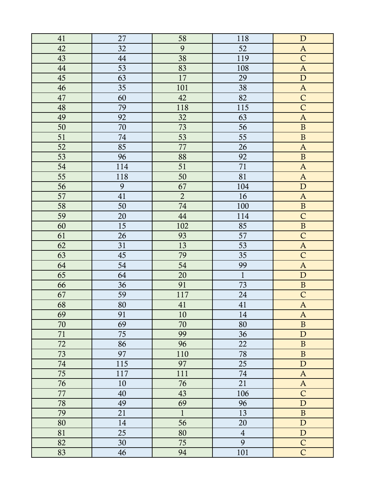| 41 | 27     | 58             | 118            | $\mathbf D$               |
|----|--------|----------------|----------------|---------------------------|
| 42 | 32     | 9              | 52             | $\mathbf{A}$              |
| 43 | 44     | 38             | 119            | $\mathsf{C}$              |
| 44 | 53     | 83             | 108            | $\boldsymbol{\mathsf{A}}$ |
| 45 | 63     | 17             | 29             | ${\bf D}$                 |
| 46 | 35     | 101            | 38             | $\mathbf A$               |
| 47 | 60     | 42             | 82             | $\mathsf{C}$              |
| 48 | 79     | 118            | 115            | $\overline{\mathsf{C}}$   |
| 49 | 92     | 32             | 63             | $\boldsymbol{A}$          |
| 50 | $70\,$ | 73             | 56             | $\, {\bf B}$              |
| 51 | 74     | 53             | 55             | $\, {\bf B}$              |
| 52 | 85     | 77             | 26             | $\mathbf{A}$              |
| 53 | 96     | 88             | 92             | $\, {\bf B}$              |
| 54 | 114    | 51             | 71             | $\boldsymbol{\mathsf{A}}$ |
| 55 | 118    | 50             | 81             | $\boldsymbol{\mathsf{A}}$ |
| 56 | 9      | 67             | 104            | ${\bf D}$                 |
| 57 | 41     | $\overline{2}$ | 16             | $\mathbf A$               |
| 58 | 50     | 74             | 100            | $\, {\bf B}$              |
| 59 | 20     | $44\,$         | 114            | $\mathsf{C}$              |
| 60 | 15     | 102            | 85             | $\overline{\mathbf{B}}$   |
| 61 | 26     | 93             | 57             | $\mathsf{C}$              |
| 62 | 31     | 13             | 53             | $\boldsymbol{\mathsf{A}}$ |
| 63 | 45     | 79             | 35             | $\mathsf{C}$              |
| 64 | 54     | 54             | 99             | $\boldsymbol{\mathsf{A}}$ |
| 65 | 64     | 20             | $\mathbf{1}$   | ${\bf D}$                 |
| 66 | 36     | 91             | 73             | $\, {\bf B}$              |
| 67 | 59     | 117            | 24             | $\overline{C}$            |
| 68 | 80     | 41             | 41             | $\boldsymbol{A}$          |
| 69 | 91     | 10             | $14\,$         | $\mathbf{A}$              |
| 70 | 69     | 70             | 80             | $\, {\bf B}$              |
| 71 | 75     | 99             | 36             | $\mathbf D$               |
| 72 | 86     | 96             | 22             | $\, {\bf B}$              |
| 73 | 97     | 110            | 78             | $\, {\bf B}$              |
| 74 | 115    | 97             | 25             | ${\bf D}$                 |
| 75 | 117    | 111            | 74             | $\mathbf A$               |
| 76 | 10     | 76             | 21             | $\mathbf A$               |
| 77 | 40     | 43             | 106            | $\mathsf{C}$              |
| 78 | 49     | 69             | 96             | ${\bf D}$                 |
| 79 | 21     | $\mathbf{1}$   | 13             | $\, {\bf B}$              |
| 80 | 14     | 56             | 20             | ${\bf D}$                 |
| 81 | 25     | 80             | $\overline{4}$ | ${\bf D}$                 |
| 82 | 30     | 75             | 9              | $\mathsf{C}$              |
| 83 | 46     | 94             | 101            | $\overline{C}$            |